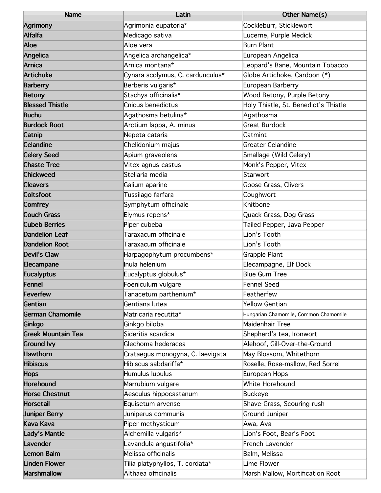| <b>Name</b>               | Latin                            | Other Name(s)                         |
|---------------------------|----------------------------------|---------------------------------------|
| <b>Agrimony</b>           | Agrimonia eupatoria*             | Cockleburr, Sticklewort               |
| <b>Alfalfa</b>            | Medicago sativa                  | Lucerne, Purple Medick                |
| Aloe                      | Aloe vera                        | <b>Burn Plant</b>                     |
| Angelica                  | Angelica archangelica*           | European Angelica                     |
| <b>Arnica</b>             | Arnica montana*                  | Leopard's Bane, Mountain Tobacco      |
| <b>Artichoke</b>          | Cynara scolymus, C. cardunculus* | Globe Artichoke, Cardoon (*)          |
| <b>Barberry</b>           | Berberis vulgaris*               | European Barberry                     |
| <b>Betony</b>             | Stachys officinalis*             | Wood Betony, Purple Betony            |
| <b>Blessed Thistle</b>    | Cnicus benedictus                | Holy Thistle, St. Benedict's Thistle  |
| <b>Buchu</b>              | Agathosma betulina*              | Agathosma                             |
| <b>Burdock Root</b>       | Arctium Iappa, A. minus          | <b>Great Burdock</b>                  |
| Catnip                    | Nepeta cataria                   | Catmint                               |
| <b>Celandine</b>          | Chelidonium majus                | Greater Celandine                     |
| <b>Celery Seed</b>        | Apium graveolens                 | Smallage (Wild Celery)                |
| <b>Chaste Tree</b>        | Vitex agnus-castus               | Monk's Pepper, Vitex                  |
| <b>Chickweed</b>          | Stellaria media                  | Starwort                              |
| <b>Cleavers</b>           | Galium aparine                   | Goose Grass, Clivers                  |
| <b>Coltsfoot</b>          | Tussilago farfara                | Coughwort                             |
| <b>Comfrey</b>            | Symphytum officinale             | Knitbone                              |
| <b>Couch Grass</b>        | Elymus repens*                   | Quack Grass, Dog Grass                |
| <b>Cubeb Berries</b>      | Piper cubeba                     | Tailed Pepper, Java Pepper            |
| <b>Dandelion Leaf</b>     | Taraxacum officinale             | Lion's Tooth                          |
| <b>Dandelion Root</b>     | Taraxacum officinale             | Lion's Tooth                          |
| <b>Devil's Claw</b>       | Harpagophytum procumbens*        | Grapple Plant                         |
| Elecampane                | Inula helenium                   | Elecampagne, Elf Dock                 |
| <b>Eucalyptus</b>         | Eucalyptus globulus*             | Blue Gum Tree                         |
| <b>Fennel</b>             | Foeniculum vulgare               | Fennel Seed                           |
| <b>Feverfew</b>           | Tanacetum parthenium*            | Featherfew                            |
| Gentian                   | Gentiana lutea                   | Yellow Gentian                        |
| <b>German Chamomile</b>   | Matricaria recutita*             | Hungarian Chamomile, Common Chamomile |
| Ginkgo                    | Ginkgo biloba                    | Maidenhair Tree                       |
| <b>Greek Mountain Tea</b> | Sideritis scardica               | Shepherd's tea, Ironwort              |
| <b>Ground Ivy</b>         | Glechoma hederacea               | Alehoof, Gill-Over-the-Ground         |
| <b>Hawthorn</b>           | Crataegus monogyna, C. laevigata | May Blossom, Whitethorn               |
| <b>Hibiscus</b>           | Hibiscus sabdariffa*             | Roselle, Rose-mallow, Red Sorrel      |
| <b>Hops</b>               | Humulus lupulus                  | European Hops                         |
| <b>Horehound</b>          | Marrubium vulgare                | White Horehound                       |
| <b>Horse Chestnut</b>     | Aesculus hippocastanum           | Buckeye                               |
| <b>Horsetail</b>          | Equisetum arvense                | Shave-Grass, Scouring rush            |
| <b>Juniper Berry</b>      | Juniperus communis               | <b>Ground Juniper</b>                 |
| <b>Kava Kava</b>          | Piper methysticum                | Awa, Ava                              |
| Lady's Mantle             | Alchemilla vulgaris*             | Lion's Foot, Bear's Foot              |
| Lavender                  | Lavandula angustifolia*          | French Lavender                       |
| Lemon Balm                | Melissa officinalis              | Balm, Melissa                         |
| <b>Linden Flower</b>      | Tilia platyphyllos, T. cordata*  | Lime Flower                           |
| <b>Marshmallow</b>        | Althaea officinalis              | Marsh Mallow, Mortification Root      |